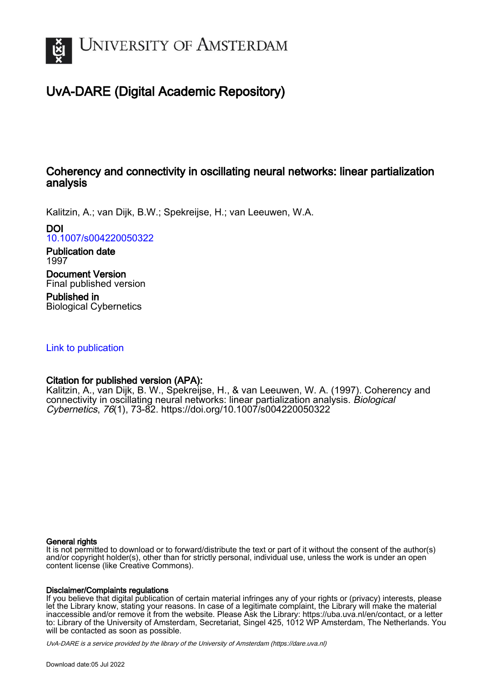

# UvA-DARE (Digital Academic Repository)

## Coherency and connectivity in oscillating neural networks: linear partialization analysis

Kalitzin, A.; van Dijk, B.W.; Spekreijse, H.; van Leeuwen, W.A.

DOI

[10.1007/s004220050322](https://doi.org/10.1007/s004220050322)

Publication date 1997

Document Version Final published version

Published in Biological Cybernetics

[Link to publication](https://dare.uva.nl/personal/pure/en/publications/coherency-and-connectivity-in-oscillating-neural-networks-linear-partialization-analysis(32617a1e-f232-46c5-850f-5774ff9ad0b6).html)

## Citation for published version (APA):

Kalitzin, A., van Dijk, B. W., Spekreijse, H., & van Leeuwen, W. A. (1997). Coherency and connectivity in oscillating neural networks: linear partialization analysis. Biological Cybernetics, 76(1), 73-82. <https://doi.org/10.1007/s004220050322>

## General rights

It is not permitted to download or to forward/distribute the text or part of it without the consent of the author(s) and/or copyright holder(s), other than for strictly personal, individual use, unless the work is under an open content license (like Creative Commons).

## Disclaimer/Complaints regulations

If you believe that digital publication of certain material infringes any of your rights or (privacy) interests, please let the Library know, stating your reasons. In case of a legitimate complaint, the Library will make the material inaccessible and/or remove it from the website. Please Ask the Library: https://uba.uva.nl/en/contact, or a letter to: Library of the University of Amsterdam, Secretariat, Singel 425, 1012 WP Amsterdam, The Netherlands. You will be contacted as soon as possible.

UvA-DARE is a service provided by the library of the University of Amsterdam (http*s*://dare.uva.nl)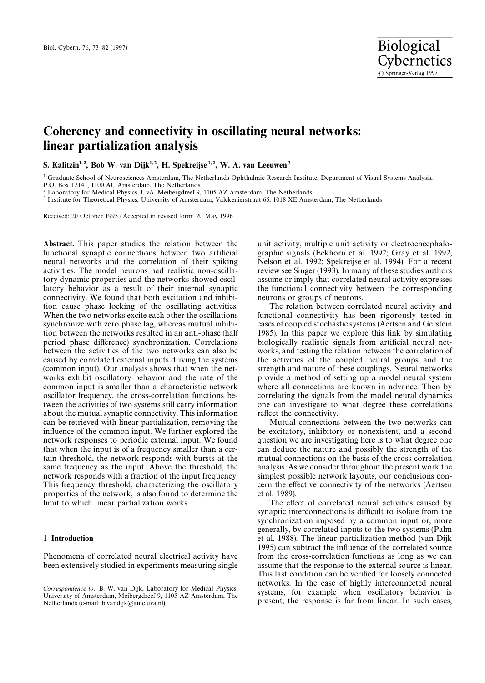# Coherency and connectivity in oscillating neural networks: linear partialization analysis

S. Kalitzin<sup>1,2</sup>, Bob W. van Dijk<sup>1,2</sup>, H. Spekreijse<sup>1,2</sup>, W. A. van Leeuwen<sup>3</sup>

<sup>1</sup> Graduate School of Neurosciences Amsterdam, The Netherlands Ophthalmic Research Institute, Department of Visual Systems Analysis, P.O. Box 12141, 1100 AC Amsterdam, The Netherlands

2 Laboratory for Medical Physics, UvA, Meibergdreef 9, 1105 AZ Amsterdam, The Netherlands

3 Institute for Theoretical Physics, University of Amsterdam, Valckenierstraat 65, 1018 XE Amsterdam, The Netherlands

Received: 20 October 1995 / Accepted in revised form: 20 May 1996

Abstract. This paper studies the relation between the functional synaptic connections between two artificial neural networks and the correlation of their spiking activities. The model neurons had realistic non-oscillatory dynamic properties and the networks showed oscillatory behavior as a result of their internal synaptic connectivity. We found that both excitation and inhibition cause phase locking of the oscillating activities. When the two networks excite each other the oscillations synchronize with zero phase lag, whereas mutual inhibition between the networks resulted in an anti-phase (half period phase difference) synchronization. Correlations between the activities of the two networks can also be caused by correlated external inputs driving the systems (common input). Our analysis shows that when the networks exhibit oscillatory behavior and the rate of the common input is smaller than a characteristic network oscillator frequency, the cross-correlation functions between the activities of two systems still carry information about the mutual synaptic connectivity. This information can be retrieved with linear partialization, removing the influence of the common input. We further explored the network responses to periodic external input. We found that when the input is of a frequency smaller than a certain threshold, the network responds with bursts at the same frequency as the input. Above the threshold, the network responds with a fraction of the input frequency. This frequency threshold, characterizing the oscillatory properties of the network, is also found to determine the limit to which linear partialization works.

## 1 Introduction

Phenomena of correlated neural electrical activity have been extensively studied in experiments measuring single unit activity, multiple unit activity or electroencephalographic signals (Eckhorn et al. 1992; Gray et al. 1992; Nelson et al. 1992; Spekreijse et al. 1994). For a recent review see Singer (1993). In many of these studies authors assume or imply that correlated neural activity expresses the functional connectivity between the corresponding neurons or groups of neurons.

The relation between correlated neural activity and functional connectivity has been rigorously tested in cases of coupled stochastic systems (Aertsen and Gerstein 1985). In this paper we explore this link by simulating biologically realistic signals from artificial neural networks, and testing the relation between the correlation of the activities of the coupled neural groups and the strength and nature of these couplings. Neural networks provide a method of setting up a model neural system where all connections are known in advance. Then by correlating the signals from the model neural dynamics one can investigate to what degree these correlations reflect the connectivity.

Mutual connections between the two networks can be excitatory, inhibitory or nonexistent, and a second question we are investigating here is to what degree one can deduce the nature and possibly the strength of the mutual connections on the basis of the cross-correlation analysis. As we consider throughout the present work the simplest possible network layouts, our conclusions concern the effective connectivity of the networks (Aertsen et al. 1989).

The effect of correlated neural activities caused by synaptic interconnections is difficult to isolate from the synchronization imposed by a common input or, more generally, by correlated inputs to the two systems (Palm et al. 1988). The linear partialization method (van Dijk 1995) can subtract the influence of the correlated source from the cross-correlation functions as long as we can assume that the response to the external source is linear. This last condition can be verified for loosely connected networks. In the case of highly interconnected neural systems, for example when oscillatory behavior is present, the response is far from linear. In such cases,

*Correspondence to:* B. W. van Dijk, Laboratory for Medical Physics, University of Amsterdam, Meibergdreef 9, 1105 AZ Amsterdam, The Netherlands (e-mail: b.vandijk@amc.uva.nl)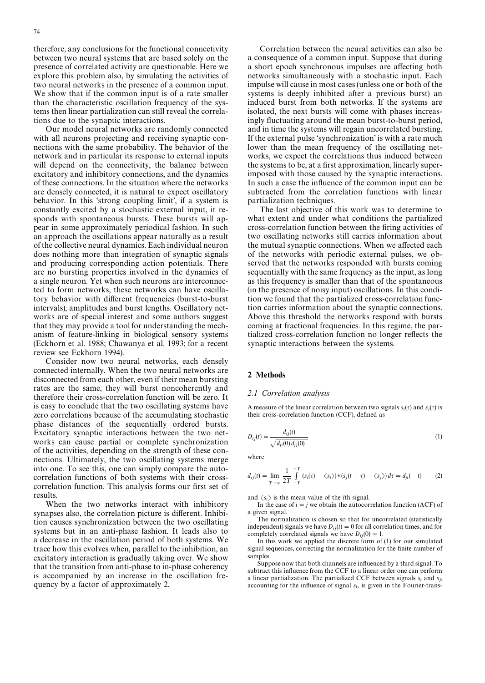74

therefore, any conclusions for the functional connectivity between two neural systems that are based solely on the presence of correlated activity are questionable. Here we explore this problem also, by simulating the activities of two neural networks in the presence of a common input. We show that if the common input is of a rate smaller than the characteristic oscillation frequency of the systems then linear partialization can still reveal the correlations due to the synaptic interactions.

Our model neural networks are randomly connected with all neurons projecting and receiving synaptic connections with the same probability. The behavior of the network and in particular its response to external inputs will depend on the connectivity, the balance between excitatory and inhibitory connections, and the dynamics of these connections. In the situation where the networks are densely connected, it is natural to expect oscillatory behavior. In this 'strong coupling limit', if a system is constantly excited by a stochastic external input, it responds with spontaneous bursts. These bursts will appear in some approximately periodical fashion. In such an approach the oscillations appear naturally as a result of the collective neural dynamics. Each individual neuron does nothing more than integration of synaptic signals and producing corresponding action potentials. There are no bursting properties involved in the dynamics of a single neuron. Yet when such neurons are interconnected to form networks, these networks can have oscillatory behavior with different frequencies (burst-to-burst intervals), amplitudes and burst lengths. Oscillatory networks are of special interest and some authors suggest that they may provide a tool for understanding the mechanism of feature-linking in biological sensory systems (Eckhorn et al. 1988; Chawanya et al. 1993; for a recent review see Eckhorn 1994).

Consider now two neural networks, each densely connected internally. When the two neural networks are disconnected from each other, even if their mean bursting rates are the same, they will burst noncoherently and therefore their cross-correlation function will be zero. It is easy to conclude that the two oscillating systems have zero correlations because of the accumulating stochastic phase distances of the sequentially ordered bursts. Excitatory synaptic interactions between the two networks can cause partial or complete synchronization of the activities, depending on the strength of these connections. Ultimately, the two oscillating systems merge into one. To see this, one can simply compare the autocorrelation functions of both systems with their crosscorrelation function. This analysis forms our first set of results.

When the two networks interact with inhibitory synapses also, the correlation picture is different. Inhibition causes synchronization between the two oscillating systems but in an anti-phase fashion. It leads also to a decrease in the oscillation period of both systems. We trace how this evolves when, parallel to the inhibition, an excitatory interaction is gradually taking over. We show that the transition from anti-phase to in-phase coherency is accompanied by an increase in the oscillation frequency by a factor of approximately 2.

Correlation between the neural activities can also be a consequence of a common input. Suppose that during a short epoch synchronous impulses are affecting both networks simultaneously with a stochastic input. Each impulse will cause in most cases (unless one or both of the systems is deeply inhibited after a previous burst) an induced burst from both networks. If the systems are isolated, the next bursts will come with phases increasingly fluctuating around the mean burst-to-burst period, and in time the systems will regain uncorrelated bursting. If the external pulse 'synchronization' is with a rate much lower than the mean frequency of the oscillating networks, we expect the correlations thus induced between the systems to be, at a first approximation, linearly superimposed with those caused by the synaptic interactions. In such a case the influence of the common input can be subtracted from the correlation functions with linear partialization techniques.

The last objective of this work was to determine to what extent and under what conditions the partialized cross-correlation function between the firing activities of two oscillating networks still carries information about the mutual synaptic connections. When we affected each of the networks with periodic external pulses, we observed that the networks responded with bursts coming sequentially with the same frequency as the input, as long as this frequency is smaller than that of the spontaneous (in the presence of noisy input) oscillations. In this condition we found that the partialized cross-correlation function carries information about the synaptic connections. Above this threshold the networks respond with bursts coming at fractional frequencies. In this regime, the partialized cross-correlation function no longer reflects the synaptic interactions between the systems.

#### 2 Methods

#### *2.1 Correlation analysis*

A measure of the linear correlation between two signals  $s_i(\tau)$  and  $s_j(\tau)$  is their cross-correlation function (CCF), defined as

$$
D_{ij}(t) = \frac{d_{ij}(t)}{\sqrt{d_{ii}(0) d_{jj}(0)}}
$$
\n(1)

where

$$
d_{ij}(t) = \lim_{T \to \infty} \frac{1}{2T} \int_{-T}^{+T} (s_i(\tau) - \langle s_i \rangle) * (s_j(t + \tau) - \langle s_j \rangle) d\tau = d_{ji}(-t) \tag{2}
$$

and  $\langle s_i \rangle$  is the mean value of the *i*th signal.

In the case of  $i = j$  we obtain the autocorrelation function (ACF) of a given signal.

The normalization is chosen so that for uncorrelated (statistically independent) signals we have  $D_{ij}(t) = 0$  for all correlation times, and for completely correlated signals we have  $D_{ij}(0) = 1$ .

In this work we applied the discrete form of (1) for our simulated signal sequences, correcting the normalization for the finite number of samples.

Suppose now that both channels are influenced by a third signal. To subtract this influence from the CCF to a linear order one can perform a linear partialization. The partialized CCF between signals  $s_i$  and  $s_j$ , accounting for the influence of signal  $s_k$ , is given in the Fourier-trans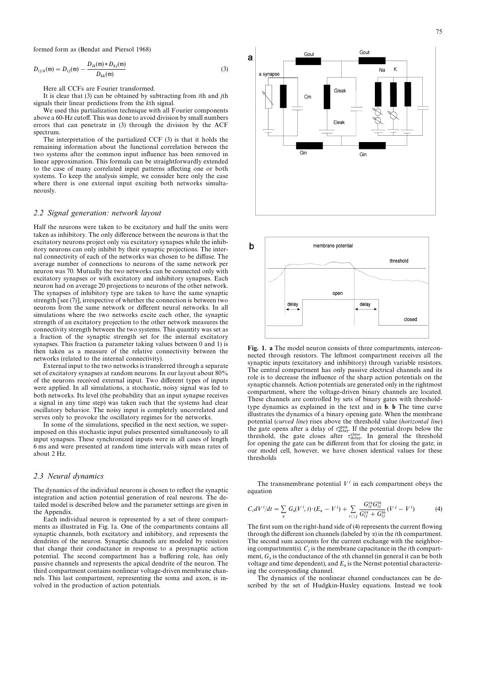formed form as (Bendat and Piersol 1968)

$$
D_{ij|k}(\varpi) = D_{ij}(\varpi) - \frac{D_{ik}(\varpi) * D_{kj}(\varpi)}{D_{kk}(\varpi)}
$$
\n(3)

Here all CCFs are Fourier transformed.

It is clear that (3) can be obtained by subtracting from *i*th and *j*th signals their linear predictions from the *k*th signal.

We used this partialization technique with all Fourier components above a 60-Hz cutoff. This was done to avoid division by small numbers errors that can penetrate in (3) through the division by the ACF spectrum.

The interpretation of the partialized CCF (3) is that it holds the remaining information about the functional correlation between the two systems after the common input influence has been removed in linear approximation. This formula can be straightforwardly extended to the case of many correlated input patterns affecting one or both systems. To keep the analysis simple, we consider here only the case where there is one external input exciting both networks simultaneously.

#### *2.2 Signal generation: network layout*

Half the neurons were taken to be excitatory and half the units were taken as inhibitory. The only difference between the neurons is that the excitatory neurons project only via excitatory synapses while the inhibitory neurons can only inhibit by their synaptic projections. The internal connectivity of each of the networks was chosen to be diffuse. The average number of connections to neurons of the same network per neuron was 70. Mutually the two networks can be connected only with excitatory synapses or with excitatory and inhibitory synapses. Each neuron had on average 20 projections to neurons of the other network. The synapses of inhibitory type are taken to have the same synaptic strength [see (7)], irrespective of whether the connection is between two neurons from the same network or different neural networks. In all simulations where the two networks excite each other, the synaptic strength of an excitatory projection to the other network measures the connectivity strength between the two systems. This quantity was set as a fraction of the synaptic strength set for the internal excitatory synapses. This fraction (a parameter taking values between 0 and 1) is then taken as a measure of the relative connectivity between the networks (related to the internal connectivity).

External input to the two networks is transferred through a separate set of excitatory synapses at random neurons. In our layout about 80% of the neurons received external input. Two different types of inputs were applied. In all simulations, a stochastic, noisy signal was fed to both networks. Its level (the probability that an input synapse receives a signal in any time step) was taken such that the systems had clear oscillatory behavior. The noisy input is completely uncorrelated and serves only to provoke the oscillatory regimes for the networks.

In some of the simulations, specified in the next section, we superimposed on this stochastic input pulses presented simultaneously to all input synapses. These synchronized inputs were in all cases of length 6 ms and were presented at random time intervals with mean rates of about 2 Hz.

#### *2.3 Neural dynamics*

The dynamics of the individual neurons is chosen to reflect the synaptic integration and action potential generation of real neurons. The detailed model is described below and the parameter settings are given in the Appendix.

Each individual neuron is represented by a set of three compartments as illustrated in Fig. 1a. One of the compartments contains all synaptic channels, both excitatory and inhibitory, and represents the dendrites of the neuron. Synaptic channels are modeled by resistors that change their conductance in response to a presynaptic action potential. The second compartment has a buffering role, has only passive channels and represents the apical dendrite of the neuron. The third compartment contains nonlinear voltage-driven membrane channels. This last compartment, representing the soma and axon, is involved in the production of action potentials.





Fig. 1. a The model neuron consists of three compartments, interconnected through resistors. The leftmost compartment receives all the synaptic inputs (excitatory and inhibitory) through variable resistors. The central compartment has only passive electrical channels and its role is to decrease the influence of the sharp action potentials on the synaptic channels. Action potentials are generated only in the rightmost compartment, where the voltage-driven binary channels are located. These channels are controlled by sets of binary gates with thresholdtype dynamics as explained in the text and in b. b The time curve illustrates the dynamics of a binary opening gate. When the membrane potential (*curved line*) rises above the threshold value (*horizontal line*) the gate opens after a delay of  $\tau_{\text{delay}}^{\text{open}}$ . If the potential drops below the threshold, the gate closes after  $\tau_{\text{delay}}^{\text{close}}$ . In general the threshold for opening the gate can be different from that for closing the gate; in our model cell, however, we have chosen identical values for these thresholds

The transmembrane potential  $V^i$  in each compartment obeys the equation

$$
C_i dV^i/dt = \sum_{\alpha} G_{\alpha}(V^i, t) \cdot (E_{\alpha} - V^i) + \sum_{i \leq j} \frac{G_{ij}^{\text{ex}} G_{ij}^{\text{in}}}{G_{ij}^{\text{ex}} + G_{ij}^{\text{in}}} (V^j - V^i)
$$
(4)

The first sum on the right-hand side of (4) represents the current flowing through the different ion channels (labeled by a) in the *i*th compartment. The second sum accounts for the current exchange with the neighboring compartment(s).  $C_i$  is the membrane capacitance in the *i*th compartment,  $G_{\alpha}$  is the conductance of the  $\alpha$ th channel (in general it can be both voltage and time dependent) and  $F_{\alpha}$  is the Nernet potential characteriz voltage and time dependent), and  $E_{\alpha}$  is the Nernst potential characteriz-<br>ing the corresponding channel ing the corresponding channel.

The dynamics of the nonlinear channel conductances can be described by the set of Hudgkin-Huxley equations. Instead we took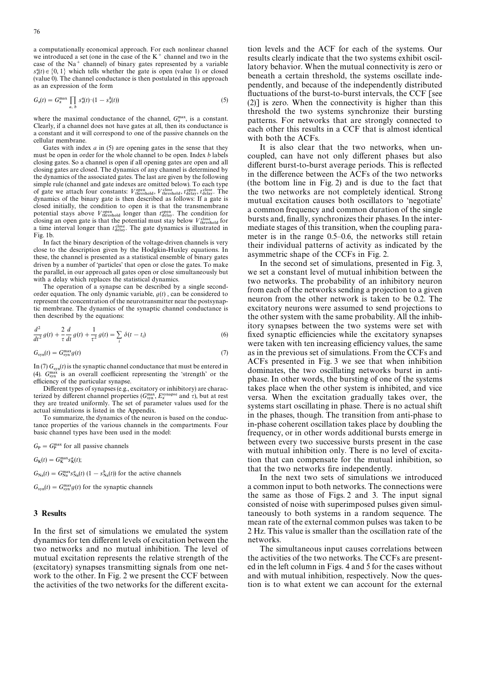a computationally economical approach. For each nonlinear channel we introduced a set (one in the case of the K*`* channel and two in the case of the Na*`* channel) of binary gates represented by a variable case of the INa channel) of binary gates represented by a variable  $s_a^d(t) \in \{0, 1\}$  which tells whether the gate is open (value 1) or closed  $\alpha_{\alpha}(t) \in (0, 1)$  which tens whether the gate is open (value 1) or closed (value 0). The channel conductance is then postulated in this approach as an expression of the form

$$
G_{\alpha}(t) = G_{\alpha}^{\max} \prod_{a, b} s_{\alpha}^{a}(t) \cdot (1 - s_{\alpha}^{b}(t))
$$
\n
$$
\tag{5}
$$

where the maximal conductance of the channel,  $G_n^{\max}$ , is a constant. Clearly, if a channel does not have gates at all, then its conductance is a constant and it will correspond to one of the passive channels on the cellular membrane.

Gates with index *a* in (5) are opening gates in the sense that they must be open in order for the whole channel to be open. Index *b* labels closing gates. So a channel is open if all opening gates are open and all closing gates are closed. The dynamics of any channel is determined by the dynamics of the associated gates. The last are given by the following simple rule (channel and gate indexes are omitted below). To each type of gate we attach four constants:  $V^{\text{open}}_{\text{threshold}}, V^{\text{close}}_{\text{threshold}}, t^{\text{open}}_{\text{delay}}, t^{\text{close}}_{\text{delay}}$ . The dynamics of the binary gate is then described as follows: If a gate is closed initially, the condition to open it is that the transmembrane potential stays above  $V_{\text{threshold}}^{\text{open}}$  longer than  $t_{\text{delay}}^{\text{open}}$ . The condition for potential stays above  $V_{\text{threshold}}$  longer than  $t_{\text{delay}}$ . The condition for  $V_{\text{threshold}}^{\text{close}}$  for a time interval longer than  $t_{\text{delay}}^{\text{close}}$ . The gate dynamics is illustrated in Fig. 1b.

In fact the binary description of the voltage-driven channels is very close to the description given by the Hodgkin-Huxley equations. In these, the channel is presented as a statistical ensemble of binary gates driven by a number of 'particles' that open or close the gates. To make the parallel, in our approach all gates open or close simultaneously but with a delay which replaces the statistical dynamics.

The operation of a synapse can be described by a single secondorder equation. The only dynamic variable, *g*(*t*) , can be considered to represent the concentration of the neurotransmitter near the postsynaptic membrane. The dynamics of the synaptic channel conductance is then described by the equations:

$$
\frac{d^2}{dt^2} g(t) + \frac{2}{\tau} \frac{d}{dt} g(t) + \frac{1}{\tau^2} g(t) = \sum_i \delta(t - t_i)
$$
 (6)

$$
G_{\rm syn}(t) = G_{\rm syn}^{\rm max} g(t) \tag{7}
$$

In (7)  $G_{syn}(t)$  is the synaptic channel conductance that must be entered in (4).  $G_{syn}^{max}$  is an overall coefficient representing the 'strength' or the  $G_{syn}^{max}$  is an overall coefficient representing the 'strength' or the efficiency of the particular synapse.

Different types of synapses (e.g., excitatory or inhibitory) are charac-Example terized by different channel properties  $(G_{syn}^{\text{max}}, E_x^{\text{swans}})$  and  $\tau$ , but at rest<br>they are tracted uniformly The set of the state in and  $\tau$ , but at rest<br>they are tracted uniformly The set of the they are treated uniformly. The set of parameter values used for the actual simulations is listed in the Appendix.

To summarize, the dynamics of the neuron is based on the conductance properties of the various channels in the compartments. Four basic channel types have been used in the model:

$$
G_{\rm P} = G_{\rm P}^{\rm max}
$$
 for all passive channels

 $G_{\mathbf{K}}(t) = G_{\mathbf{K}}^{\max} s_{\mathbf{K}}^a(t);$ 

 $G_{\text{Na}}(t) = G_{\text{Na}}^{\text{max}} s_{\text{Na}}^a(t)$  (1 -  $s_{\text{Na}}^b(t)$ ) for the active channels

 $G_{syn}(t) = G_{syn}^{\max} g(t)$  for the synaptic channels

### 3 Results

In the first set of simulations we emulated the system dynamics for ten different levels of excitation between the two networks and no mutual inhibition. The level of mutual excitation represents the relative strength of the (excitatory) synapses transmitting signals from one network to the other. In Fig. 2 we present the CCF between the activities of the two networks for the different excitation levels and the ACF for each of the systems. Our results clearly indicate that the two systems exhibit oscillatory behavior. When the mutual connectivity is zero or beneath a certain threshold, the systems oscillate independently, and because of the independently distributed fluctuations of the burst-to-burst intervals, the CCF [see (2)] is zero. When the connectivity is higher than this threshold the two systems synchronize their bursting patterns. For networks that are strongly connected to each other this results in a CCF that is almost identical with both the ACFs.

It is also clear that the two networks, when uncoupled, can have not only different phases but also different burst-to-burst average periods. This is reflected in the difference between the ACFs of the two networks (the bottom line in Fig. 2) and is due to the fact that the two networks are not completely identical. Strong mutual excitation causes both oscillators to 'negotiate' a common frequency and common duration of the single bursts and, finally, synchronizes their phases. In the intermediate stages of this transition, when the coupling parameter is in the range 0.5*—*0.6, the networks still retain their individual patterns of activity as indicated by the asymmetric shape of the CCFs in Fig. 2.

In the second set of simulations, presented in Fig. 3, we set a constant level of mutual inhibition between the two networks. The probability of an inhibitory neuron from each of the networks sending a projection to a given neuron from the other network is taken to be 0.2. The excitatory neurons were assumed to send projections to the other system with the same probability. All the inhibitory synapses between the two systems were set with fixed synaptic efficiencies while the excitatory synapses were taken with ten increasing efficiency values, the same as in the previous set of simulations. From the CCFs and ACFs presented in Fig. 3 we see that when inhibition dominates, the two oscillating networks burst in antiphase. In other words, the bursting of one of the systems takes place when the other system is inhibited, and vice versa. When the excitation gradually takes over, the systems start oscillating in phase. There is no actual shift in the phases, though. The transition from anti-phase to in-phase coherent oscillation takes place by doubling the frequency, or in other words additional bursts emerge in between every two successive bursts present in the case with mutual inhibition only. There is no level of excitation that can compensate for the mutual inhibition, so that the two networks fire independently.

In the next two sets of simulations we introduced a common input to both networks. The connections were the same as those of Figs. 2 and 3. The input signal consisted of noise with superimposed pulses given simultaneously to both systems in a random sequence. The mean rate of the external common pulses was taken to be 2 Hz. This value is smaller than the oscillation rate of the networks.

The simultaneous input causes correlations between the activities of the two networks. The CCFs are presented in the left column in Figs. 4 and 5 for the cases without and with mutual inhibition, respectively. Now the question is to what extent we can account for the external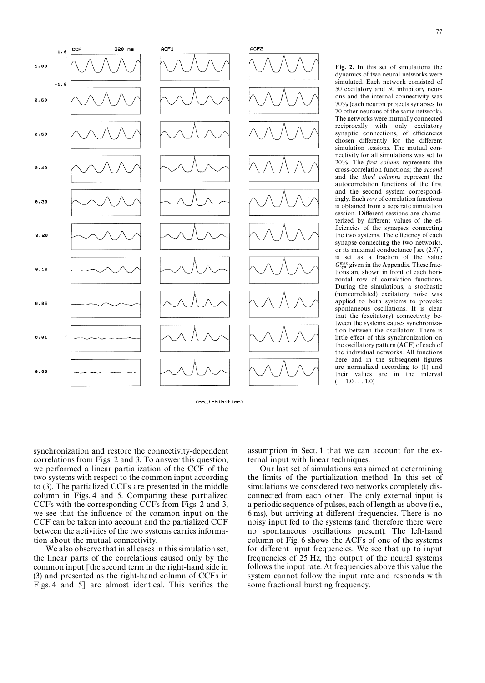

(no inhibition)

Fig. 2. In this set of simulations the dynamics of two neural networks were simulated. Each network consisted of 50 excitatory and 50 inhibitory neurons and the internal connectivity was 70% (each neuron projects synapses to 70 other neurons of the same network). The networks were mutually connected reciprocally with only excitatory synaptic connections, of efficiencies chosen differently for the different simulation sessions. The mutual connectivity for all simulations was set to 20%. The *first column* represents the cross-correlation functions; the *second* and the *third columns* represent the autocorrelation functions of the first and the second system correspondingly. Each *row* of correlation functions is obtained from a separate simulation session. Different sessions are characterized by different values of the efficiencies of the synapses connecting the two systems. The efficiency of each synapse connecting the two networks, or its maximal conductance [see (2.7)], is set as a fraction of the value  $G_{syn}^{\max}$  given in the Appendix. These fractions are shown in front of each horizontal row of correlation functions. During the simulations, a stochastic (noncorrelated) excitatory noise was applied to both systems to provoke spontaneous oscillations. It is clear that the (excitatory) connectivity between the systems causes synchronization between the oscillators. There is little effect of this synchronization on the oscillatory pattern (ACF) of each of the individual networks. All functions here and in the subsequent figures are normalized according to (1) and their values are in the interval  $(-1.0 \ldots 1.0)$ 

synchronization and restore the connectivity-dependent correlations from Figs. 2 and 3. To answer this question, we performed a linear partialization of the CCF of the two systems with respect to the common input according to (3). The partialized CCFs are presented in the middle column in Figs. 4 and 5. Comparing these partialized CCFs with the corresponding CCFs from Figs. 2 and 3, we see that the influence of the common input on the CCF can be taken into account and the partialized CCF between the activities of the two systems carries information about the mutual connectivity.

We also observe that in all cases in this simulation set, the linear parts of the correlations caused only by the common input [the second term in the right-hand side in (3) and presented as the right-hand column of CCFs in Figs. 4 and 5] are almost identical. This verifies the assumption in Sect. 1 that we can account for the external input with linear techniques.

Our last set of simulations was aimed at determining the limits of the partialization method. In this set of simulations we considered two networks completely disconnected from each other. The only external input is a periodic sequence of pulses, each of length as above (i.e., 6 ms), but arriving at different frequencies. There is no noisy input fed to the systems (and therefore there were no spontaneous oscillations present). The left-hand column of Fig. 6 shows the ACFs of one of the systems for different input frequencies. We see that up to input frequencies of 25 Hz, the output of the neural systems follows the input rate. At frequencies above this value the system cannot follow the input rate and responds with some fractional bursting frequency.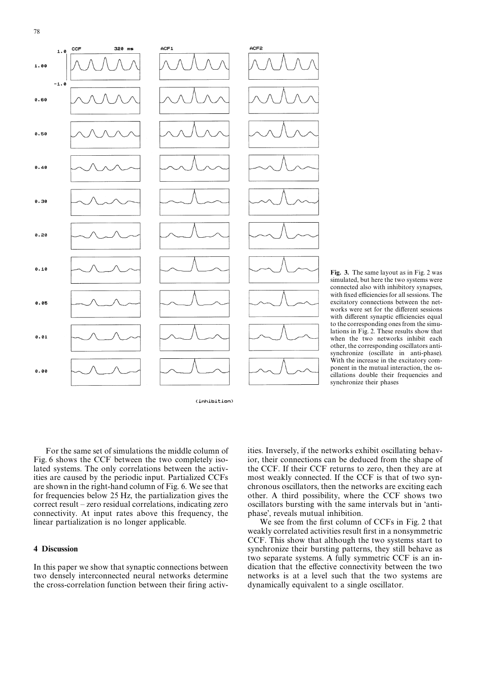





For the same set of simulations the middle column of Fig. 6 shows the CCF between the two completely isolated systems. The only correlations between the activities are caused by the periodic input. Partialized CCFs are shown in the right-hand column of Fig. 6. We see that for frequencies below 25 Hz, the partialization gives the correct result *—* zero residual correlations, indicating zero connectivity. At input rates above this frequency, the linear partialization is no longer applicable.

### 4 Discussion

In this paper we show that synaptic connections between two densely interconnected neural networks determine the cross-correlation function between their firing activities. Inversely, if the networks exhibit oscillating behavior, their connections can be deduced from the shape of the CCF. If their CCF returns to zero, then they are at most weakly connected. If the CCF is that of two synchronous oscillators, then the networks are exciting each other. A third possibility, where the CCF shows two oscillators bursting with the same intervals but in 'antiphase', reveals mutual inhibition.

We see from the first column of CCFs in Fig. 2 that weakly correlated activities result first in a nonsymmetric CCF. This show that although the two systems start to synchronize their bursting patterns, they still behave as two separate systems. A fully symmetric CCF is an indication that the effective connectivity between the two networks is at a level such that the two systems are dynamically equivalent to a single oscillator.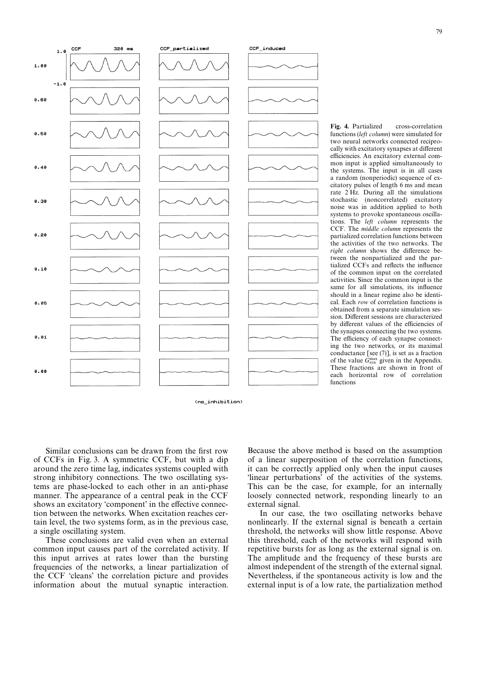

Fig. 4. Partialized cross-correlation functions (*left column*) were simulated for two neural networks connected reciprocally with excitatory synapses at different efficiencies. An excitatory external common input is applied simultaneously to the systems. The input is in all cases a random (nonperiodic) sequence of excitatory pulses of length 6 ms and mean rate 2 Hz. During all the simulations stochastic (noncorrelated) excitatory noise was in addition applied to both systems to provoke spontaneous oscillations. The *left column* represents the CCF. The *middle column* represents the partialized correlation functions between the activities of the two networks. The *right column* shows the difference between the nonpartialized and the partialized CCFs and reflects the influence of the common input on the correlated activities. Since the common input is the same for all simulations, its influence should in a linear regime also be identical. Each *row* of correlation functions is obtained from a separate simulation session. Different sessions are characterized by different values of the efficiencies of the synapses connecting the two systems. The efficiency of each synapse connecting the two networks, or its maximal conductance [see (7)], is set as a fraction conductance [see  $(7)$ ], is set as a fraction<br>of the value  $G_{syn}^{max}$  given in the Appendix. These fractions are shown in front of each horizontal row of correlation functions

(no inhibition)

Similar conclusions can be drawn from the first row of CCFs in Fig. 3. A symmetric CCF, but with a dip around the zero time lag, indicates systems coupled with strong inhibitory connections. The two oscillating systems are phase-locked to each other in an anti-phase manner. The appearance of a central peak in the CCF shows an excitatory 'component' in the effective connection between the networks. When excitation reaches certain level, the two systems form, as in the previous case, a single oscillating system.

These conclusions are valid even when an external common input causes part of the correlated activity. If this input arrives at rates lower than the bursting frequencies of the networks, a linear partialization of the CCF 'cleans' the correlation picture and provides information about the mutual synaptic interaction. Because the above method is based on the assumption of a linear superposition of the correlation functions, it can be correctly applied only when the input causes 'linear perturbations' of the activities of the systems. This can be the case, for example, for an internally loosely connected network, responding linearly to an external signal.

In our case, the two oscillating networks behave nonlinearly. If the external signal is beneath a certain threshold, the networks will show little response. Above this threshold, each of the networks will respond with repetitive bursts for as long as the external signal is on. The amplitude and the frequency of these bursts are almost independent of the strength of the external signal. Nevertheless, if the spontaneous activity is low and the external input is of a low rate, the partialization method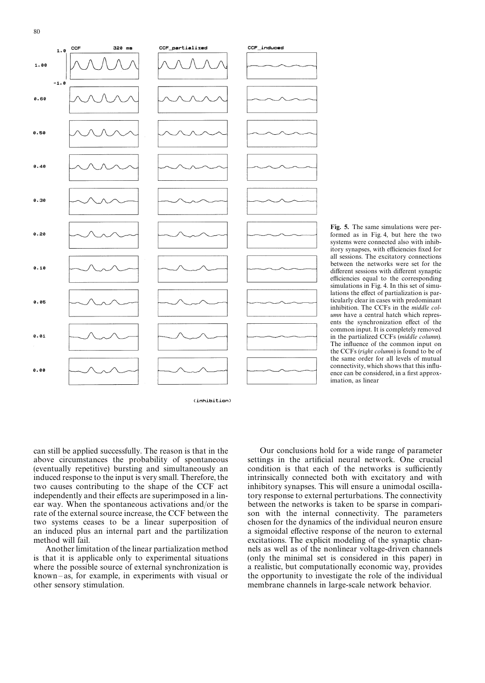

(inhibition)

Fig. 5. The same simulations were performed as in Fig. 4, but here the two systems were connected also with inhibitory synapses, with efficiencies fixed for all sessions. The excitatory connections between the networks were set for the different sessions with different synaptic efficiencies equal to the corresponding simulations in Fig. 4. In this set of simulations the effect of partialization is particularly clear in cases with predominant inhibition. The CCFs in the *middle column* have a central hatch which represents the synchronization effect of the common input. It is completely removed in the partialized CCFs (*middle column*). The influence of the common input on the CCFs (*right column*) is found to be of the same order for all levels of mutual connectivity, which shows that this influence can be considered, in a first approximation, as linear

can still be applied successfully. The reason is that in the above circumstances the probability of spontaneous (eventually repetitive) bursting and simultaneously an induced response to the input is very small. Therefore, the two causes contributing to the shape of the CCF act independently and their effects are superimposed in a linear way. When the spontaneous activations and/or the rate of the external source increase, the CCF between the two systems ceases to be a linear superposition of an induced plus an internal part and the partilization method will fail.

Another limitation of the linear partialization method is that it is applicable only to experimental situations where the possible source of external synchronization is known *—* as, for example, in experiments with visual or other sensory stimulation.

Our conclusions hold for a wide range of parameter settings in the artificial neural network. One crucial condition is that each of the networks is sufficiently intrinsically connected both with excitatory and with inhibitory synapses. This will ensure a unimodal oscillatory response to external perturbations. The connectivity between the networks is taken to be sparse in comparison with the internal connectivity. The parameters chosen for the dynamics of the individual neuron ensure a sigmoidal effective response of the neuron to external excitations. The explicit modeling of the synaptic channels as well as of the nonlinear voltage-driven channels (only the minimal set is considered in this paper) in a realistic, but computationally economic way, provides the opportunity to investigate the role of the individual membrane channels in large-scale network behavior.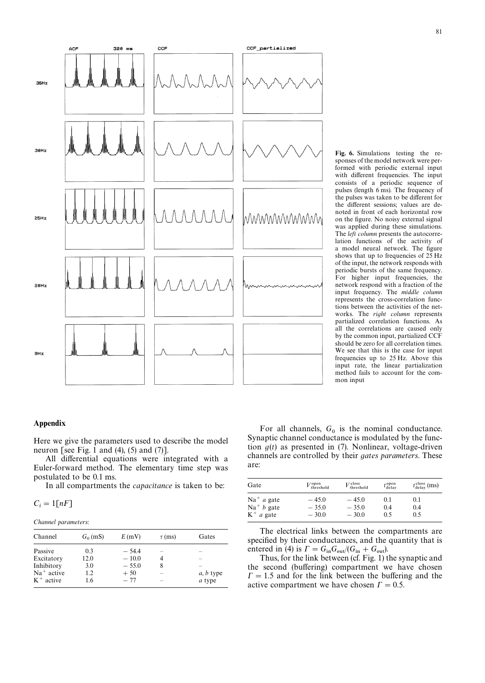

Fig. 6. Simulations testing the responses of the model network were performed with periodic external input with different frequencies. The input consists of a periodic sequence of pulses (length 6 ms). The frequency of the pulses was taken to be different for the different sessions; values are denoted in front of each horizontal row on the figure. No noisy external signal was applied during these simulations. The *left column* presents the autocorrelation functions of the activity of a model neural network. The figure shows that up to frequencies of 25 Hz of the input, the network responds with periodic bursts of the same frequency. For higher input frequencies, the network respond with a fraction of the input frequency. The *middle column* represents the cross-correlation functions between the activities of the networks. The *right column* represents partialized correlation functions. As all the correlations are caused only by the common input, partialized CCF should be zero for all correlation times. We see that this is the case for input frequencies up to 25 Hz. Above this input rate, the linear partialization method fails to account for the common input

#### Appendix

Here we give the parameters used to describe the model neuron [see Fig. 1 and  $(4)$ ,  $(5)$  and  $(7)$ ].

All differential equations were integrated with a Euler-forward method. The elementary time step was postulated to be 0.1 ms.

In all compartments the *capacitance* is taken to be:

$$
C_i = 1[nF]
$$

*Channel parameters*:

| Channel      | $G_0$ (mS) | E(mV)   | $\tau$ (ms) | Gates       |
|--------------|------------|---------|-------------|-------------|
| Passive      | 0.3        | $-54.4$ |             |             |
| Excitatory   | 12.0       | $-10.0$ |             |             |
| Inhibitory   | 3.0        | $-55.0$ | 8           |             |
| $Na+$ active | 1.2        | $+50$   |             | $a, b$ type |
| $K^+$ active | 1.6        | $-77$   |             | a type      |

For all channels,  $G_0$  is the nominal conductance. Synaptic channel conductance is modulated by the function *g*(*t*) as presented in (7). Nonlinear, voltage-driven channels are controlled by their *gates parameters*. These are:

| Gate         | $V_{\text{threshold}}^{\text{open}}$ | $V_{\rm threshold}^{\rm close}$ | $t_{\rm delay}^{\rm open}$ | $t_{\rm delay}^{\rm close}$ (ms) |
|--------------|--------------------------------------|---------------------------------|----------------------------|----------------------------------|
| $Na+ a gate$ | $-45.0$                              | $-45.0$                         | 0.1                        | 0.1                              |
| $Na+ b$ gate | $-35.0$                              | $-35.0$                         | 0.4                        | 0.4                              |
| $K^+$ a gate | $-30.0$                              | $-30.0$                         | 0.5                        | 0.5                              |

The electrical links between the compartments are specified by their conductances, and the quantity that is entered in (4) is  $\Gamma = G_{\text{in}}G_{\text{out}}/(G_{\text{in}} + G_{\text{out}})$ .

Thus, for the link between (cf. Fig. 1) the synaptic and the second (buffering) compartment we have chosen  $\Gamma = 1.5$  and for the link between the buffering and the active compartment we have chosen  $\Gamma = 0.5$ .